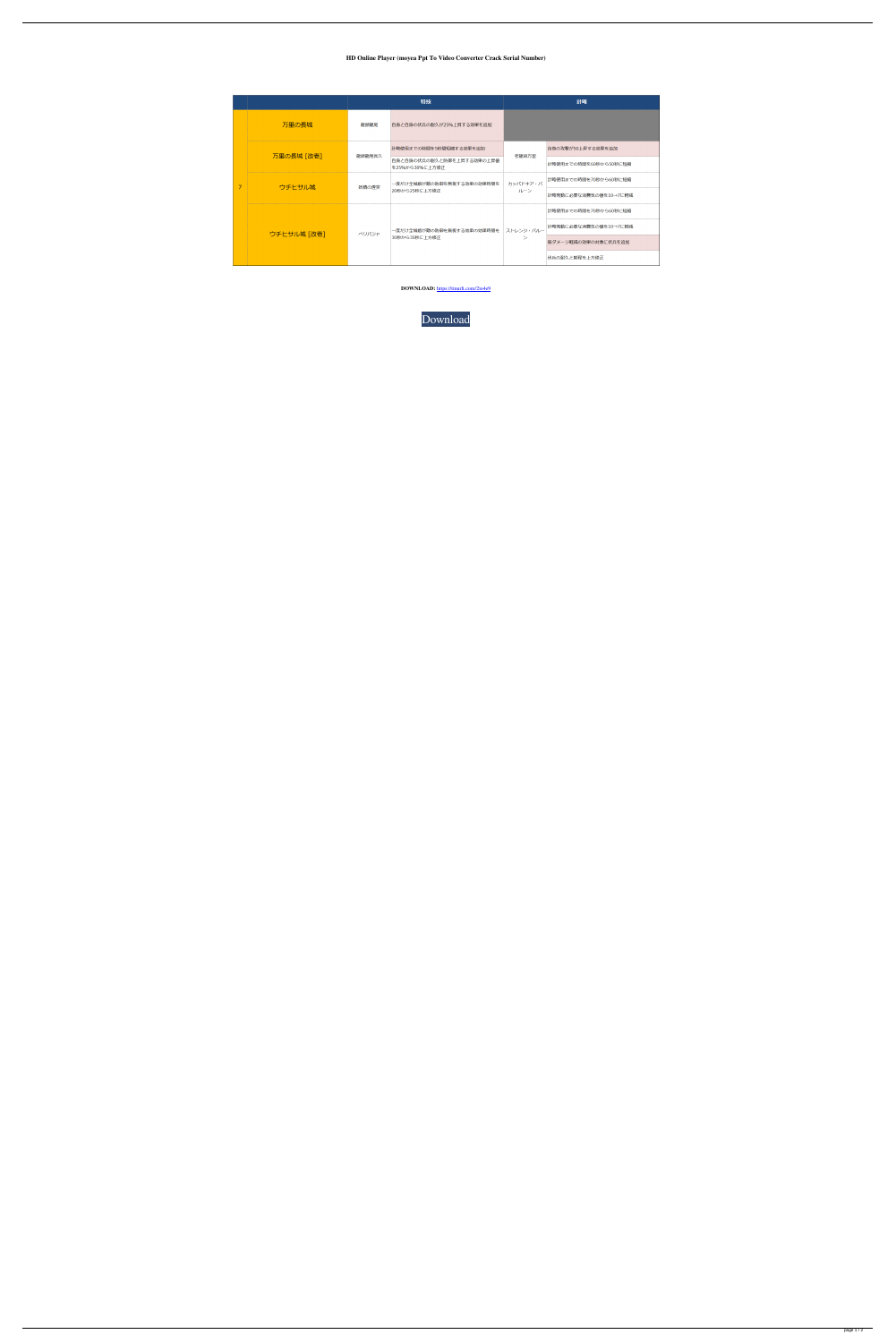## **HD Online Player (moyea Ppt To Video Converter Crack Serial Number)**

|   |             | 特技     |                                             | 計略                  |                       |
|---|-------------|--------|---------------------------------------------|---------------------|-----------------------|
| 7 | 万里の長城       | 龍頭龍尾   | 自身と自身の伏兵の耐久が25%上昇する効果を追加                    |                     |                       |
|   | 万里の長城 [改壱]  | 龍頭龍尾長久 | 計略使用までの時間を5秒間短縮する効果を追加                      | 老龍背万里               | 自身の攻撃が50上昇する効果を追加     |
|   |             |        | 自身と自身の伏兵の耐久と防御を上昇する効果の上昇値<br>を25%から30%に上方修正 |                     | 計略使用までの時間を60秒から50秒に短縮 |
|   | ウチヒサル城      | 妖精の煙突  | 一度だけ全城娘が敵の防御を無視する効果の効果時間を<br>20秒から25秒に上方修正  | カッパドキア・バ<br>ルーン     | 計略使用までの時間を70秒から60秒に短縮 |
|   |             |        |                                             |                     | 計略発動に必要な消費気の値を10→7に軽減 |
|   | ウチヒサル城 [改壱] | ペリバジャ  | -度だけ全城娘が敵の防御を無視する効果の効果時間を<br>30秒から35秒に上方修正  | ストレンジ・バルー<br>$\geq$ | 計略使用までの時間を70秒から60秒に短縮 |
|   |             |        |                                             |                     | 計略発動に必要な消費気の値を10→7に軽減 |
|   |             |        |                                             |                     | 被ダメージ軽減の効果の対象に伏兵を追加   |
|   |             |        |                                             |                     | 伏兵の耐久と射程を上方修正         |

**DOWNLOAD:** <https://tinurli.com/2io4e9>